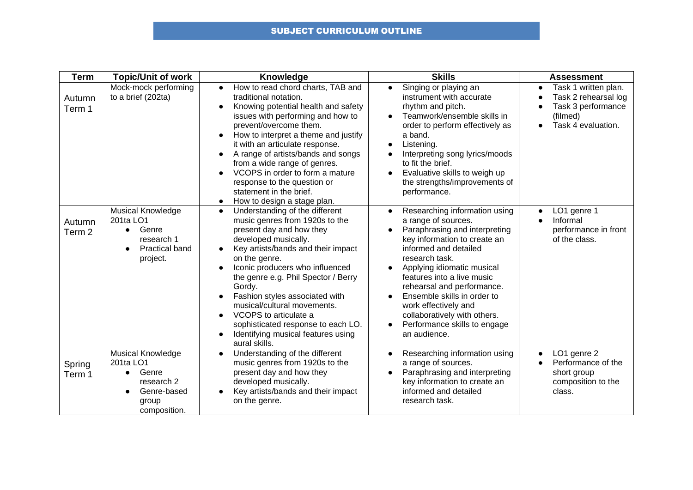## SUBJECT CURRICULUM OUTLINE

| <b>Term</b>                 | <b>Topic/Unit of work</b>                                                                                                   | Knowledge                                                                                                                                                                                                                                                                                                                                                                                                                                                               | <b>Skills</b>                                                                                                                                                                                                                                                                                                                                                                                                  | <b>Assessment</b>                                                                                                              |
|-----------------------------|-----------------------------------------------------------------------------------------------------------------------------|-------------------------------------------------------------------------------------------------------------------------------------------------------------------------------------------------------------------------------------------------------------------------------------------------------------------------------------------------------------------------------------------------------------------------------------------------------------------------|----------------------------------------------------------------------------------------------------------------------------------------------------------------------------------------------------------------------------------------------------------------------------------------------------------------------------------------------------------------------------------------------------------------|--------------------------------------------------------------------------------------------------------------------------------|
| Autumn<br>Term 1            | Mock-mock performing<br>to a brief (202ta)                                                                                  | How to read chord charts, TAB and<br>$\bullet$<br>traditional notation.<br>Knowing potential health and safety<br>issues with performing and how to<br>prevent/overcome them.<br>How to interpret a theme and justify<br>it with an articulate response.<br>A range of artists/bands and songs<br>from a wide range of genres.<br>VCOPS in order to form a mature<br>response to the question or<br>statement in the brief.<br>How to design a stage plan.<br>$\bullet$ | Singing or playing an<br>$\bullet$<br>instrument with accurate<br>rhythm and pitch.<br>Teamwork/ensemble skills in<br>order to perform effectively as<br>a band.<br>Listening.<br>Interpreting song lyrics/moods<br>to fit the brief.<br>Evaluative skills to weigh up<br>the strengths/improvements of<br>performance.                                                                                        | Task 1 written plan.<br>$\bullet$<br>Task 2 rehearsal log<br>$\bullet$<br>Task 3 performance<br>(filmed)<br>Task 4 evaluation. |
| Autumn<br>Term <sub>2</sub> | <b>Musical Knowledge</b><br>201ta LO1<br>Genre<br>$\bullet$<br>research 1<br><b>Practical band</b><br>$\bullet$<br>project. | Understanding of the different<br>$\bullet$<br>music genres from 1920s to the<br>present day and how they<br>developed musically.<br>Key artists/bands and their impact<br>on the genre.<br>Iconic producers who influenced<br>the genre e.g. Phil Spector / Berry<br>Gordy.<br>Fashion styles associated with<br>musical/cultural movements.<br>VCOPS to articulate a<br>sophisticated response to each LO.<br>Identifying musical features using<br>aural skills.     | Researching information using<br>$\bullet$<br>a range of sources.<br>Paraphrasing and interpreting<br>key information to create an<br>informed and detailed<br>research task.<br>Applying idiomatic musical<br>features into a live music<br>rehearsal and performance.<br>Ensemble skills in order to<br>work effectively and<br>collaboratively with others.<br>Performance skills to engage<br>an audience. | LO1 genre 1<br>$\bullet$<br>Informal<br>performance in front<br>of the class.                                                  |
| Spring<br>Term 1            | <b>Musical Knowledge</b><br>201ta LO1<br>Genre<br>$\bullet$<br>research 2<br>Genre-based<br>group<br>composition.           | Understanding of the different<br>$\bullet$<br>music genres from 1920s to the<br>present day and how they<br>developed musically.<br>Key artists/bands and their impact<br>on the genre.                                                                                                                                                                                                                                                                                | Researching information using<br>$\bullet$<br>a range of sources.<br>Paraphrasing and interpreting<br>key information to create an<br>informed and detailed<br>research task.                                                                                                                                                                                                                                  | LO1 genre 2<br>$\bullet$<br>Performance of the<br>short group<br>composition to the<br>class.                                  |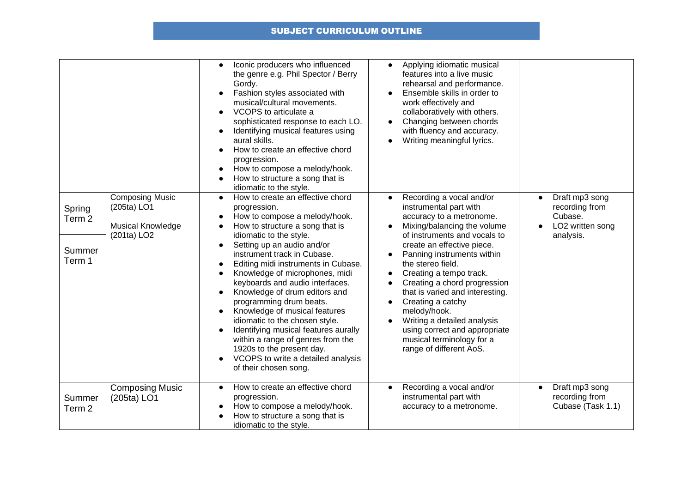## SUBJECT CURRICULUM OUTLINE

|                                                 |                                                                                       | Iconic producers who influenced<br>$\bullet$<br>the genre e.g. Phil Spector / Berry<br>Gordy.<br>Fashion styles associated with<br>musical/cultural movements.<br>VCOPS to articulate a<br>$\bullet$<br>sophisticated response to each LO.<br>Identifying musical features using<br>$\bullet$<br>aural skills.<br>How to create an effective chord<br>$\bullet$<br>progression.<br>How to compose a melody/hook.<br>$\bullet$<br>How to structure a song that is<br>idiomatic to the style.                                                                                                                                                                                                                    | Applying idiomatic musical<br>$\bullet$<br>features into a live music<br>rehearsal and performance.<br>Ensemble skills in order to<br>work effectively and<br>collaboratively with others.<br>Changing between chords<br>with fluency and accuracy.<br>Writing meaningful lyrics.                                                                                                                                                                                                         |                                                                              |
|-------------------------------------------------|---------------------------------------------------------------------------------------|----------------------------------------------------------------------------------------------------------------------------------------------------------------------------------------------------------------------------------------------------------------------------------------------------------------------------------------------------------------------------------------------------------------------------------------------------------------------------------------------------------------------------------------------------------------------------------------------------------------------------------------------------------------------------------------------------------------|-------------------------------------------------------------------------------------------------------------------------------------------------------------------------------------------------------------------------------------------------------------------------------------------------------------------------------------------------------------------------------------------------------------------------------------------------------------------------------------------|------------------------------------------------------------------------------|
| Spring<br>Term <sub>2</sub><br>Summer<br>Term 1 | <b>Composing Music</b><br>(205ta) LO1<br>Musical Knowledge<br>(201ta) LO <sub>2</sub> | How to create an effective chord<br>$\bullet$<br>progression.<br>How to compose a melody/hook.<br>$\bullet$<br>How to structure a song that is<br>$\bullet$<br>idiomatic to the style.<br>Setting up an audio and/or<br>$\bullet$<br>instrument track in Cubase.<br>Editing midi instruments in Cubase.<br>$\bullet$<br>Knowledge of microphones, midi<br>keyboards and audio interfaces.<br>Knowledge of drum editors and<br>programming drum beats.<br>Knowledge of musical features<br>idiomatic to the chosen style.<br>Identifying musical features aurally<br>$\bullet$<br>within a range of genres from the<br>1920s to the present day.<br>VCOPS to write a detailed analysis<br>of their chosen song. | Recording a vocal and/or<br>instrumental part with<br>accuracy to a metronome.<br>Mixing/balancing the volume<br>of instruments and vocals to<br>create an effective piece.<br>Panning instruments within<br>the stereo field.<br>Creating a tempo track.<br>Creating a chord progression<br>that is varied and interesting.<br>Creating a catchy<br>melody/hook.<br>Writing a detailed analysis<br>using correct and appropriate<br>musical terminology for a<br>range of different AoS. | Draft mp3 song<br>recording from<br>Cubase.<br>LO2 written song<br>analysis. |
| Summer<br>Term <sub>2</sub>                     | <b>Composing Music</b><br>(205ta) LO1                                                 | How to create an effective chord<br>$\bullet$<br>progression.<br>How to compose a melody/hook.<br>$\bullet$<br>How to structure a song that is<br>idiomatic to the style.                                                                                                                                                                                                                                                                                                                                                                                                                                                                                                                                      | Recording a vocal and/or<br>$\bullet$<br>instrumental part with<br>accuracy to a metronome.                                                                                                                                                                                                                                                                                                                                                                                               | Draft mp3 song<br>recording from<br>Cubase (Task 1.1)                        |